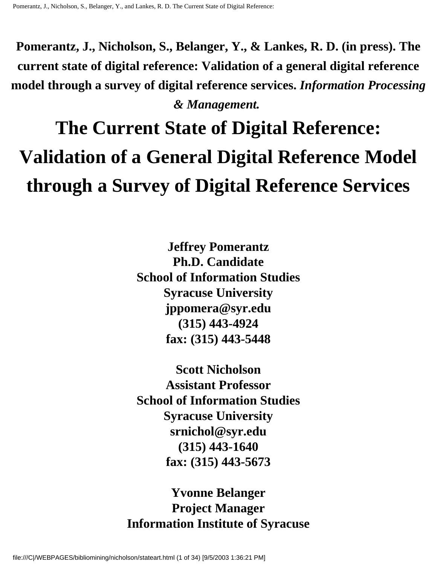**Pomerantz, J., Nicholson, S., Belanger, Y., & Lankes, R. D. (in press). The current state of digital reference: Validation of a general digital reference model through a survey of digital reference services.** *Information Processing & Management.*

# **The Current State of Digital Reference: Validation of a General Digital Reference Model through a Survey of Digital Reference Services**

**Jeffrey Pomerantz Ph.D. Candidate School of Information Studies Syracuse University jppomera@syr.edu (315) 443-4924 fax: (315) 443-5448**

**Scott Nicholson Assistant Professor School of Information Studies Syracuse University srnichol@syr.edu (315) 443-1640 fax: (315) 443-5673**

**Yvonne Belanger Project Manager Information Institute of Syracuse**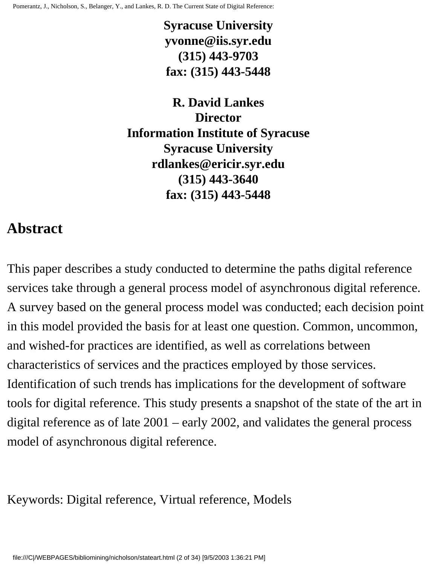**Syracuse University yvonne@iis.syr.edu (315) 443-9703 fax: (315) 443-5448**

**R. David Lankes Director Information Institute of Syracuse Syracuse University rdlankes@ericir.syr.edu (315) 443-3640 fax: (315) 443-5448**

#### **Abstract**

This paper describes a study conducted to determine the paths digital reference services take through a general process model of asynchronous digital reference. A survey based on the general process model was conducted; each decision point in this model provided the basis for at least one question. Common, uncommon, and wished-for practices are identified, as well as correlations between characteristics of services and the practices employed by those services. Identification of such trends has implications for the development of software tools for digital reference. This study presents a snapshot of the state of the art in digital reference as of late 2001 – early 2002, and validates the general process model of asynchronous digital reference.

Keywords: Digital reference, Virtual reference, Models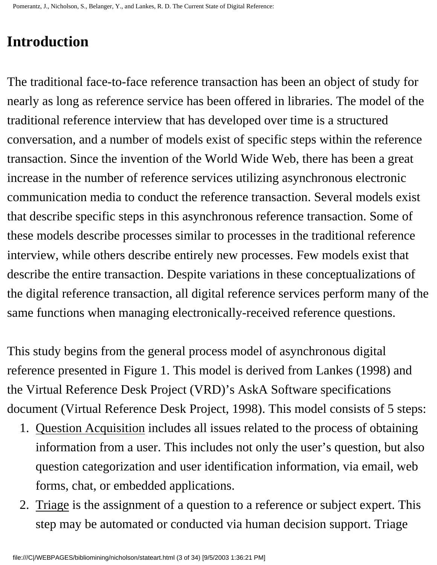## **Introduction**

The traditional face-to-face reference transaction has been an object of study for nearly as long as reference service has been offered in libraries. The model of the traditional reference interview that has developed over time is a structured conversation, and a number of models exist of specific steps within the reference transaction. Since the invention of the World Wide Web, there has been a great increase in the number of reference services utilizing asynchronous electronic communication media to conduct the reference transaction. Several models exist that describe specific steps in this asynchronous reference transaction. Some of these models describe processes similar to processes in the traditional reference interview, while others describe entirely new processes. Few models exist that describe the entire transaction. Despite variations in these conceptualizations of the digital reference transaction, all digital reference services perform many of the same functions when managing electronically-received reference questions.

This study begins from the general process model of asynchronous digital reference presented in Figure 1. This model is derived from Lankes (1998) and the Virtual Reference Desk Project (VRD)'s AskA Software specifications document (Virtual Reference Desk Project, 1998). This model consists of 5 steps:

- 1. Question Acquisition includes all issues related to the process of obtaining information from a user. This includes not only the user's question, but also question categorization and user identification information, via email, web forms, chat, or embedded applications.
- 2. Triage is the assignment of a question to a reference or subject expert. This step may be automated or conducted via human decision support. Triage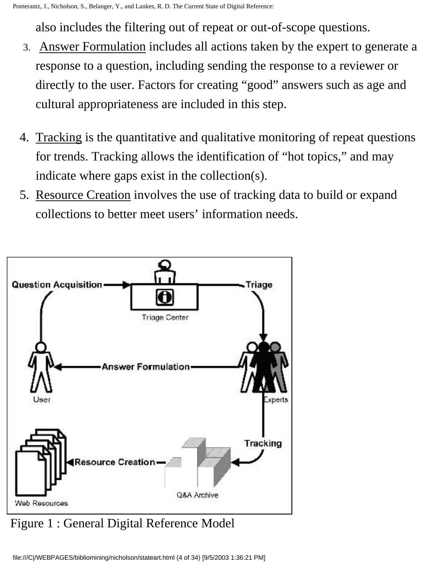also includes the filtering out of repeat or out-of-scope questions.

- 3. Answer Formulation includes all actions taken by the expert to generate a response to a question, including sending the response to a reviewer or directly to the user. Factors for creating "good" answers such as age and cultural appropriateness are included in this step.
- 4. Tracking is the quantitative and qualitative monitoring of repeat questions for trends. Tracking allows the identification of "hot topics," and may indicate where gaps exist in the collection(s).
- 5. Resource Creation involves the use of tracking data to build or expand collections to better meet users' information needs.



Figure 1 : General Digital Reference Model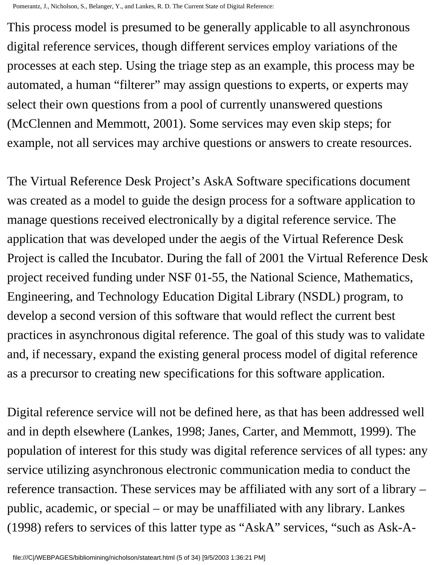This process model is presumed to be generally applicable to all asynchronous digital reference services, though different services employ variations of the processes at each step. Using the triage step as an example, this process may be automated, a human "filterer" may assign questions to experts, or experts may select their own questions from a pool of currently unanswered questions (McClennen and Memmott, 2001). Some services may even skip steps; for example, not all services may archive questions or answers to create resources.

The Virtual Reference Desk Project's AskA Software specifications document was created as a model to guide the design process for a software application to manage questions received electronically by a digital reference service. The application that was developed under the aegis of the Virtual Reference Desk Project is called the Incubator. During the fall of 2001 the Virtual Reference Desk project received funding under NSF 01-55, the National Science, Mathematics, Engineering, and Technology Education Digital Library (NSDL) program, to develop a second version of this software that would reflect the current best practices in asynchronous digital reference. The goal of this study was to validate and, if necessary, expand the existing general process model of digital reference as a precursor to creating new specifications for this software application.

Digital reference service will not be defined here, as that has been addressed well and in depth elsewhere (Lankes, 1998; Janes, Carter, and Memmott, 1999). The population of interest for this study was digital reference services of all types: any service utilizing asynchronous electronic communication media to conduct the reference transaction. These services may be affiliated with any sort of a library – public, academic, or special – or may be unaffiliated with any library. Lankes (1998) refers to services of this latter type as "AskA" services, "such as Ask-A-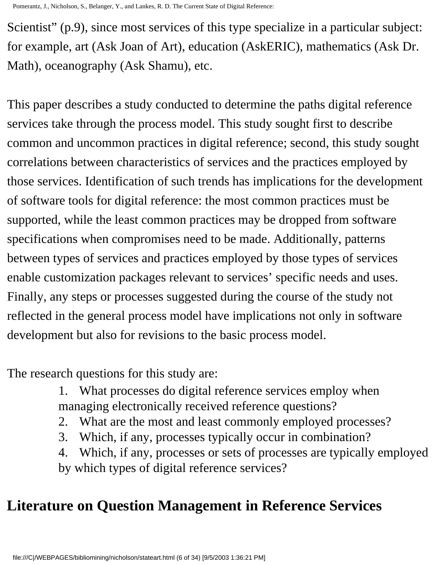Scientist" (p.9), since most services of this type specialize in a particular subject: for example, art (Ask Joan of Art), education (AskERIC), mathematics (Ask Dr. Math), oceanography (Ask Shamu), etc.

This paper describes a study conducted to determine the paths digital reference services take through the process model. This study sought first to describe common and uncommon practices in digital reference; second, this study sought correlations between characteristics of services and the practices employed by those services. Identification of such trends has implications for the development of software tools for digital reference: the most common practices must be supported, while the least common practices may be dropped from software specifications when compromises need to be made. Additionally, patterns between types of services and practices employed by those types of services enable customization packages relevant to services' specific needs and uses. Finally, any steps or processes suggested during the course of the study not reflected in the general process model have implications not only in software development but also for revisions to the basic process model.

The research questions for this study are:

1. What processes do digital reference services employ when managing electronically received reference questions?

- 2. What are the most and least commonly employed processes?
- 3. Which, if any, processes typically occur in combination?

4. Which, if any, processes or sets of processes are typically employed by which types of digital reference services?

# **Literature on Question Management in Reference Services**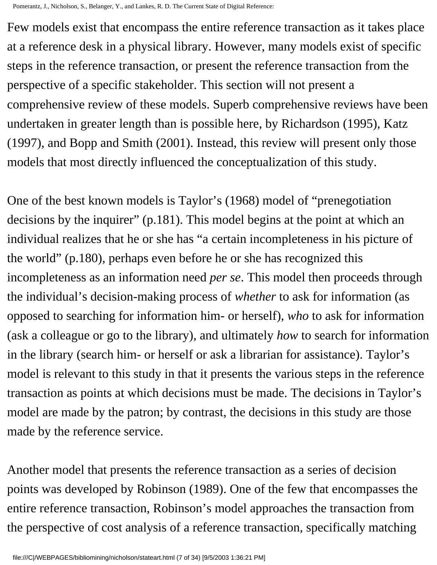Few models exist that encompass the entire reference transaction as it takes place at a reference desk in a physical library. However, many models exist of specific steps in the reference transaction, or present the reference transaction from the perspective of a specific stakeholder. This section will not present a comprehensive review of these models. Superb comprehensive reviews have been undertaken in greater length than is possible here, by Richardson (1995), Katz (1997), and Bopp and Smith (2001). Instead, this review will present only those models that most directly influenced the conceptualization of this study.

One of the best known models is Taylor's (1968) model of "prenegotiation decisions by the inquirer" (p.181). This model begins at the point at which an individual realizes that he or she has "a certain incompleteness in his picture of the world" (p.180), perhaps even before he or she has recognized this incompleteness as an information need *per se*. This model then proceeds through the individual's decision-making process of *whether* to ask for information (as opposed to searching for information him- or herself), *who* to ask for information (ask a colleague or go to the library), and ultimately *how* to search for information in the library (search him- or herself or ask a librarian for assistance). Taylor's model is relevant to this study in that it presents the various steps in the reference transaction as points at which decisions must be made. The decisions in Taylor's model are made by the patron; by contrast, the decisions in this study are those made by the reference service.

Another model that presents the reference transaction as a series of decision points was developed by Robinson (1989). One of the few that encompasses the entire reference transaction, Robinson's model approaches the transaction from the perspective of cost analysis of a reference transaction, specifically matching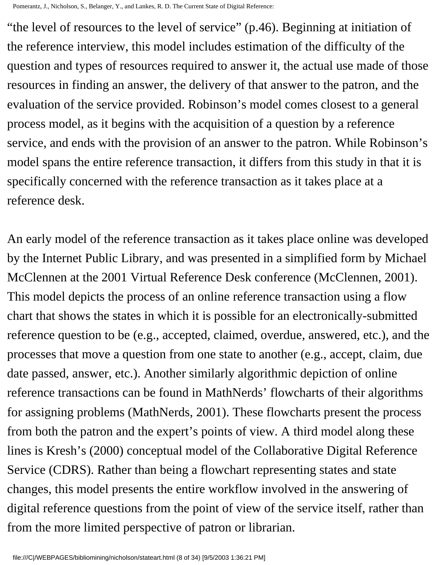"the level of resources to the level of service" (p.46). Beginning at initiation of the reference interview, this model includes estimation of the difficulty of the question and types of resources required to answer it, the actual use made of those resources in finding an answer, the delivery of that answer to the patron, and the evaluation of the service provided. Robinson's model comes closest to a general process model, as it begins with the acquisition of a question by a reference service, and ends with the provision of an answer to the patron. While Robinson's model spans the entire reference transaction, it differs from this study in that it is specifically concerned with the reference transaction as it takes place at a reference desk.

An early model of the reference transaction as it takes place online was developed by the Internet Public Library, and was presented in a simplified form by Michael McClennen at the 2001 Virtual Reference Desk conference (McClennen, 2001). This model depicts the process of an online reference transaction using a flow chart that shows the states in which it is possible for an electronically-submitted reference question to be (e.g., accepted, claimed, overdue, answered, etc.), and the processes that move a question from one state to another (e.g., accept, claim, due date passed, answer, etc.). Another similarly algorithmic depiction of online reference transactions can be found in MathNerds' flowcharts of their algorithms for assigning problems (MathNerds, 2001). These flowcharts present the process from both the patron and the expert's points of view. A third model along these lines is Kresh's (2000) conceptual model of the Collaborative Digital Reference Service (CDRS). Rather than being a flowchart representing states and state changes, this model presents the entire workflow involved in the answering of digital reference questions from the point of view of the service itself, rather than from the more limited perspective of patron or librarian.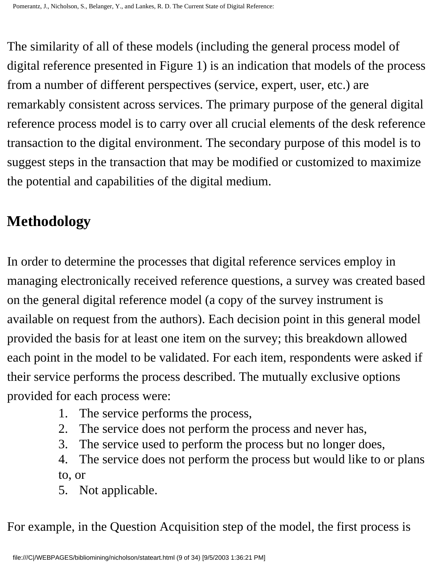The similarity of all of these models (including the general process model of digital reference presented in Figure 1) is an indication that models of the process from a number of different perspectives (service, expert, user, etc.) are remarkably consistent across services. The primary purpose of the general digital reference process model is to carry over all crucial elements of the desk reference transaction to the digital environment. The secondary purpose of this model is to suggest steps in the transaction that may be modified or customized to maximize the potential and capabilities of the digital medium.

## **Methodology**

In order to determine the processes that digital reference services employ in managing electronically received reference questions, a survey was created based on the general digital reference model (a copy of the survey instrument is available on request from the authors). Each decision point in this general model provided the basis for at least one item on the survey; this breakdown allowed each point in the model to be validated. For each item, respondents were asked if their service performs the process described. The mutually exclusive options provided for each process were:

- 1. The service performs the process,
- 2. The service does not perform the process and never has,
- 3. The service used to perform the process but no longer does,
- 4. The service does not perform the process but would like to or plans to, or
- 5. Not applicable.

For example, in the Question Acquisition step of the model, the first process is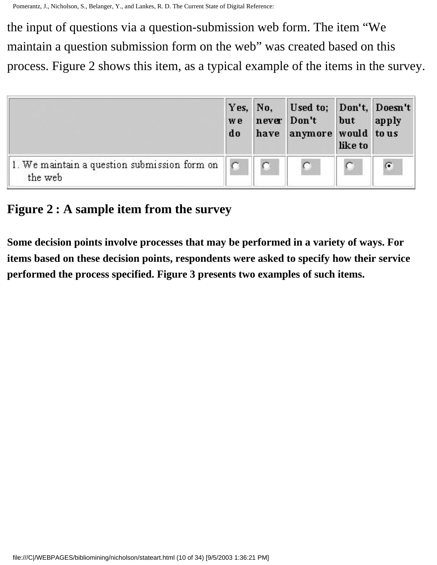the input of questions via a question-submission web form. The item "We maintain a question submission form on the web" was created based on this process. Figure 2 shows this item, as a typical example of the items in the survey.



#### **Figure 2 : A sample item from the survey**

**Some decision points involve processes that may be performed in a variety of ways. For items based on these decision points, respondents were asked to specify how their service performed the process specified. Figure 3 presents two examples of such items.**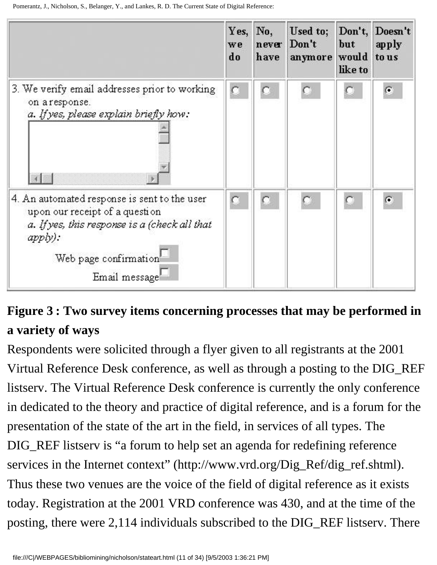

# **Figure 3 : Two survey items concerning processes that may be performed in a variety of ways**

Respondents were solicited through a flyer given to all registrants at the 2001 Virtual Reference Desk conference, as well as through a posting to the DIG\_REF listserv. The Virtual Reference Desk conference is currently the only conference in dedicated to the theory and practice of digital reference, and is a forum for the presentation of the state of the art in the field, in services of all types. The DIG\_REF listserv is "a forum to help set an agenda for redefining reference services in the Internet context" (http://www.vrd.org/Dig\_Ref/dig\_ref.shtml). Thus these two venues are the voice of the field of digital reference as it exists today. Registration at the 2001 VRD conference was 430, and at the time of the posting, there were 2,114 individuals subscribed to the DIG\_REF listserv. There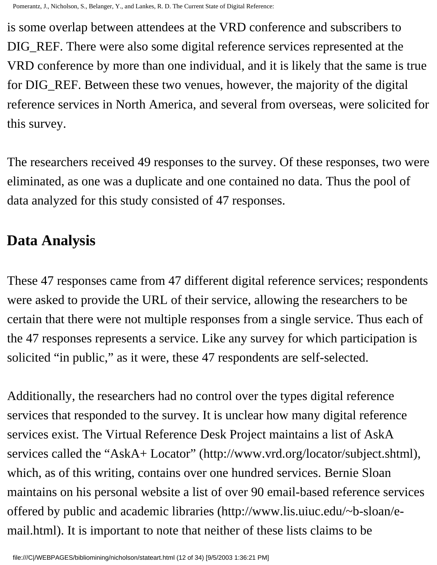is some overlap between attendees at the VRD conference and subscribers to DIG\_REF. There were also some digital reference services represented at the VRD conference by more than one individual, and it is likely that the same is true for DIG\_REF. Between these two venues, however, the majority of the digital reference services in North America, and several from overseas, were solicited for this survey.

The researchers received 49 responses to the survey. Of these responses, two were eliminated, as one was a duplicate and one contained no data. Thus the pool of data analyzed for this study consisted of 47 responses.

#### **Data Analysis**

These 47 responses came from 47 different digital reference services; respondents were asked to provide the URL of their service, allowing the researchers to be certain that there were not multiple responses from a single service. Thus each of the 47 responses represents a service. Like any survey for which participation is solicited "in public," as it were, these 47 respondents are self-selected.

Additionally, the researchers had no control over the types digital reference services that responded to the survey. It is unclear how many digital reference services exist. The Virtual Reference Desk Project maintains a list of AskA services called the "AskA+ Locator" (http://www.vrd.org/locator/subject.shtml), which, as of this writing, contains over one hundred services. Bernie Sloan maintains on his personal website a list of over 90 email-based reference services offered by public and academic libraries (http://www.lis.uiuc.edu/~b-sloan/email.html). It is important to note that neither of these lists claims to be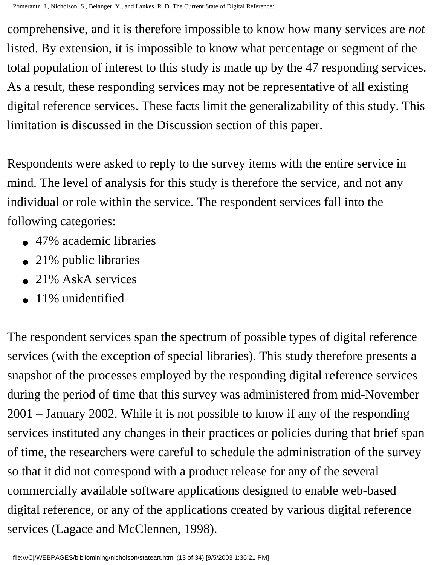comprehensive, and it is therefore impossible to know how many services are *not*  listed. By extension, it is impossible to know what percentage or segment of the total population of interest to this study is made up by the 47 responding services. As a result, these responding services may not be representative of all existing digital reference services. These facts limit the generalizability of this study. This limitation is discussed in the Discussion section of this paper.

Respondents were asked to reply to the survey items with the entire service in mind. The level of analysis for this study is therefore the service, and not any individual or role within the service. The respondent services fall into the following categories:

- 47% academic libraries
- 21% public libraries
- $\bullet$  21% AskA services
- $\bullet$  11% unidentified

The respondent services span the spectrum of possible types of digital reference services (with the exception of special libraries). This study therefore presents a snapshot of the processes employed by the responding digital reference services during the period of time that this survey was administered from mid-November 2001 – January 2002. While it is not possible to know if any of the responding services instituted any changes in their practices or policies during that brief span of time, the researchers were careful to schedule the administration of the survey so that it did not correspond with a product release for any of the several commercially available software applications designed to enable web-based digital reference, or any of the applications created by various digital reference services (Lagace and McClennen, 1998).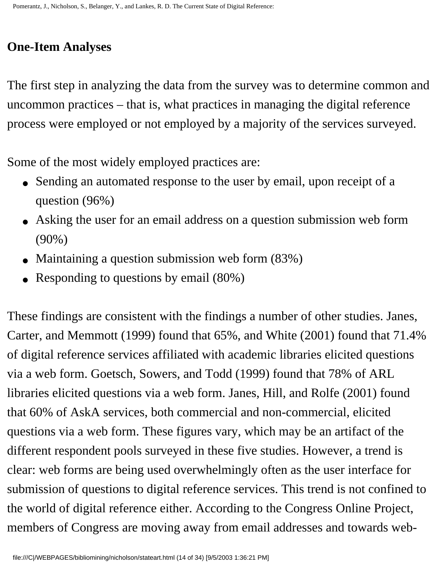### **One-Item Analyses**

The first step in analyzing the data from the survey was to determine common and uncommon practices – that is, what practices in managing the digital reference process were employed or not employed by a majority of the services surveyed.

Some of the most widely employed practices are:

- Sending an automated response to the user by email, upon receipt of a question (96%)
- Asking the user for an email address on a question submission web form (90%)
- Maintaining a question submission web form  $(83%)$
- Responding to questions by email (80%)

These findings are consistent with the findings a number of other studies. Janes, Carter, and Memmott (1999) found that 65%, and White (2001) found that 71.4% of digital reference services affiliated with academic libraries elicited questions via a web form. Goetsch, Sowers, and Todd (1999) found that 78% of ARL libraries elicited questions via a web form. Janes, Hill, and Rolfe (2001) found that 60% of AskA services, both commercial and non-commercial, elicited questions via a web form. These figures vary, which may be an artifact of the different respondent pools surveyed in these five studies. However, a trend is clear: web forms are being used overwhelmingly often as the user interface for submission of questions to digital reference services. This trend is not confined to the world of digital reference either. According to the Congress Online Project, members of Congress are moving away from email addresses and towards web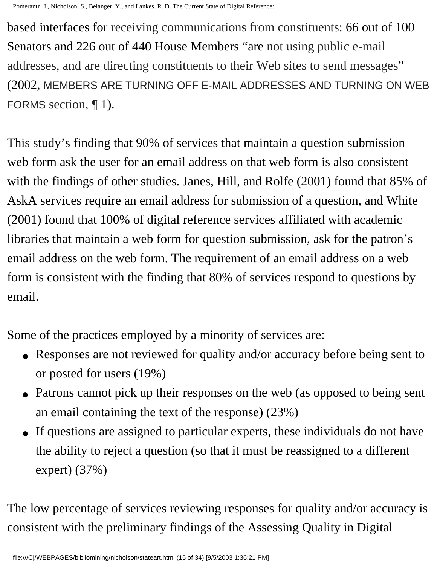based interfaces for receiving communications from constituents: 66 out of 100 Senators and 226 out of 440 House Members "are not using public e-mail addresses, and are directing constituents to their Web sites to send messages" (2002, MEMBERS ARE TURNING OFF E-MAIL ADDRESSES AND TURNING ON WEB FORMS section, ¶ 1).

This study's finding that 90% of services that maintain a question submission web form ask the user for an email address on that web form is also consistent with the findings of other studies. Janes, Hill, and Rolfe (2001) found that 85% of AskA services require an email address for submission of a question, and White (2001) found that 100% of digital reference services affiliated with academic libraries that maintain a web form for question submission, ask for the patron's email address on the web form. The requirement of an email address on a web form is consistent with the finding that 80% of services respond to questions by email.

Some of the practices employed by a minority of services are:

- Responses are not reviewed for quality and/or accuracy before being sent to or posted for users (19%)
- Patrons cannot pick up their responses on the web (as opposed to being sent an email containing the text of the response) (23%)
- If questions are assigned to particular experts, these individuals do not have the ability to reject a question (so that it must be reassigned to a different expert) (37%)

The low percentage of services reviewing responses for quality and/or accuracy is consistent with the preliminary findings of the Assessing Quality in Digital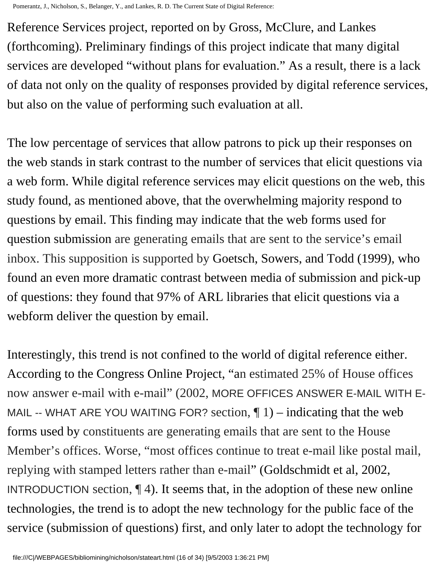Reference Services project, reported on by Gross, McClure, and Lankes (forthcoming). Preliminary findings of this project indicate that many digital services are developed "without plans for evaluation." As a result, there is a lack of data not only on the quality of responses provided by digital reference services, but also on the value of performing such evaluation at all.

The low percentage of services that allow patrons to pick up their responses on the web stands in stark contrast to the number of services that elicit questions via a web form. While digital reference services may elicit questions on the web, this study found, as mentioned above, that the overwhelming majority respond to questions by email. This finding may indicate that the web forms used for question submission are generating emails that are sent to the service's email inbox. This supposition is supported by Goetsch, Sowers, and Todd (1999), who found an even more dramatic contrast between media of submission and pick-up of questions: they found that 97% of ARL libraries that elicit questions via a webform deliver the question by email.

Interestingly, this trend is not confined to the world of digital reference either. According to the Congress Online Project, "an estimated 25% of House offices now answer e-mail with e-mail" (2002, MORE OFFICES ANSWER E-MAIL WITH E-MAIL -- WHAT ARE YOU WAITING FOR? section,  $\P$  1) – indicating that the web forms used by constituents are generating emails that are sent to the House Member's offices. Worse, "most offices continue to treat e-mail like postal mail, replying with stamped letters rather than e-mail" (Goldschmidt et al, 2002, INTRODUCTION section,  $\P$  4). It seems that, in the adoption of these new online technologies, the trend is to adopt the new technology for the public face of the service (submission of questions) first, and only later to adopt the technology for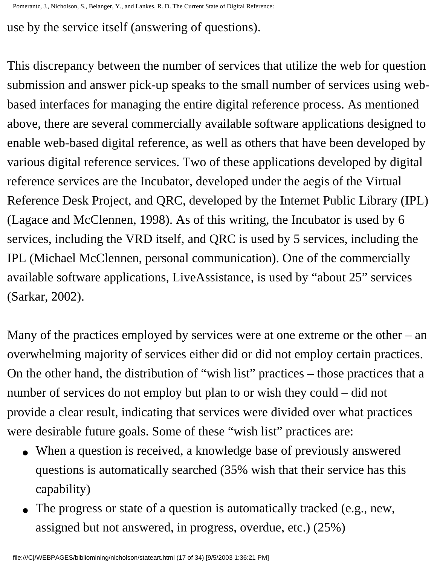use by the service itself (answering of questions).

This discrepancy between the number of services that utilize the web for question submission and answer pick-up speaks to the small number of services using webbased interfaces for managing the entire digital reference process. As mentioned above, there are several commercially available software applications designed to enable web-based digital reference, as well as others that have been developed by various digital reference services. Two of these applications developed by digital reference services are the Incubator, developed under the aegis of the Virtual Reference Desk Project, and QRC, developed by the Internet Public Library (IPL) (Lagace and McClennen, 1998). As of this writing, the Incubator is used by 6 services, including the VRD itself, and QRC is used by 5 services, including the IPL (Michael McClennen, personal communication). One of the commercially available software applications, LiveAssistance, is used by "about 25" services (Sarkar, 2002).

Many of the practices employed by services were at one extreme or the other – an overwhelming majority of services either did or did not employ certain practices. On the other hand, the distribution of "wish list" practices – those practices that a number of services do not employ but plan to or wish they could – did not provide a clear result, indicating that services were divided over what practices were desirable future goals. Some of these "wish list" practices are:

- When a question is received, a knowledge base of previously answered questions is automatically searched (35% wish that their service has this capability)
- The progress or state of a question is automatically tracked (e.g., new, assigned but not answered, in progress, overdue, etc.) (25%)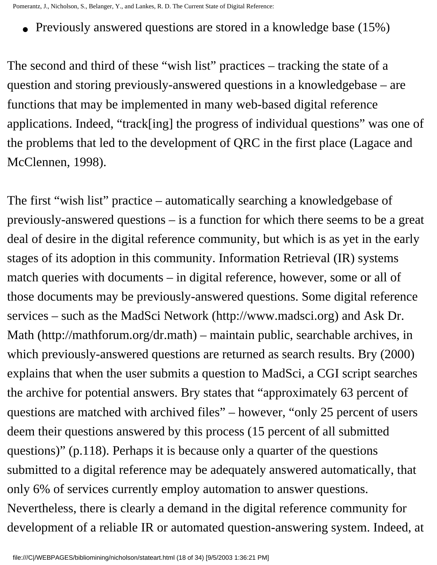• Previously answered questions are stored in a knowledge base (15%)

The second and third of these "wish list" practices – tracking the state of a question and storing previously-answered questions in a knowledgebase – are functions that may be implemented in many web-based digital reference applications. Indeed, "track[ing] the progress of individual questions" was one of the problems that led to the development of QRC in the first place (Lagace and McClennen, 1998).

The first "wish list" practice – automatically searching a knowledgebase of previously-answered questions – is a function for which there seems to be a great deal of desire in the digital reference community, but which is as yet in the early stages of its adoption in this community. Information Retrieval (IR) systems match queries with documents – in digital reference, however, some or all of those documents may be previously-answered questions. Some digital reference services – such as the MadSci Network (http://www.madsci.org) and Ask Dr. Math (http://mathforum.org/dr.math) – maintain public, searchable archives, in which previously-answered questions are returned as search results. Bry (2000) explains that when the user submits a question to MadSci, a CGI script searches the archive for potential answers. Bry states that "approximately 63 percent of questions are matched with archived files" – however, "only 25 percent of users deem their questions answered by this process (15 percent of all submitted questions)" (p.118). Perhaps it is because only a quarter of the questions submitted to a digital reference may be adequately answered automatically, that only 6% of services currently employ automation to answer questions. Nevertheless, there is clearly a demand in the digital reference community for development of a reliable IR or automated question-answering system. Indeed, at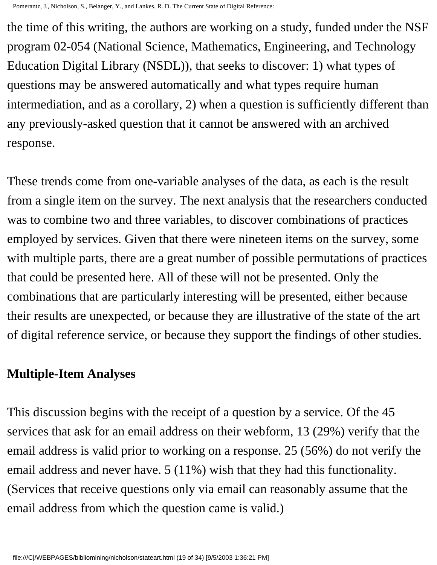the time of this writing, the authors are working on a study, funded under the NSF program 02-054 (National Science, Mathematics, Engineering, and Technology Education Digital Library (NSDL)), that seeks to discover: 1) what types of questions may be answered automatically and what types require human intermediation, and as a corollary, 2) when a question is sufficiently different than any previously-asked question that it cannot be answered with an archived response.

These trends come from one-variable analyses of the data, as each is the result from a single item on the survey. The next analysis that the researchers conducted was to combine two and three variables, to discover combinations of practices employed by services. Given that there were nineteen items on the survey, some with multiple parts, there are a great number of possible permutations of practices that could be presented here. All of these will not be presented. Only the combinations that are particularly interesting will be presented, either because their results are unexpected, or because they are illustrative of the state of the art of digital reference service, or because they support the findings of other studies.

#### **Multiple-Item Analyses**

This discussion begins with the receipt of a question by a service. Of the 45 services that ask for an email address on their webform, 13 (29%) verify that the email address is valid prior to working on a response. 25 (56%) do not verify the email address and never have. 5 (11%) wish that they had this functionality. (Services that receive questions only via email can reasonably assume that the email address from which the question came is valid.)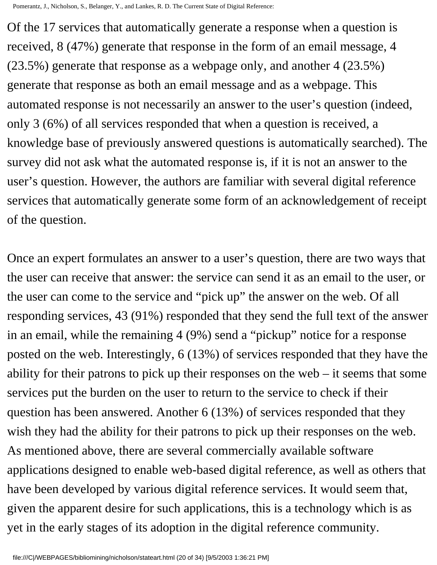Of the 17 services that automatically generate a response when a question is received, 8 (47%) generate that response in the form of an email message, 4 (23.5%) generate that response as a webpage only, and another 4 (23.5%) generate that response as both an email message and as a webpage. This automated response is not necessarily an answer to the user's question (indeed, only 3 (6%) of all services responded that when a question is received, a knowledge base of previously answered questions is automatically searched). The survey did not ask what the automated response is, if it is not an answer to the user's question. However, the authors are familiar with several digital reference services that automatically generate some form of an acknowledgement of receipt of the question.

Once an expert formulates an answer to a user's question, there are two ways that the user can receive that answer: the service can send it as an email to the user, or the user can come to the service and "pick up" the answer on the web. Of all responding services, 43 (91%) responded that they send the full text of the answer in an email, while the remaining 4 (9%) send a "pickup" notice for a response posted on the web. Interestingly, 6 (13%) of services responded that they have the ability for their patrons to pick up their responses on the web – it seems that some services put the burden on the user to return to the service to check if their question has been answered. Another 6 (13%) of services responded that they wish they had the ability for their patrons to pick up their responses on the web. As mentioned above, there are several commercially available software applications designed to enable web-based digital reference, as well as others that have been developed by various digital reference services. It would seem that, given the apparent desire for such applications, this is a technology which is as yet in the early stages of its adoption in the digital reference community.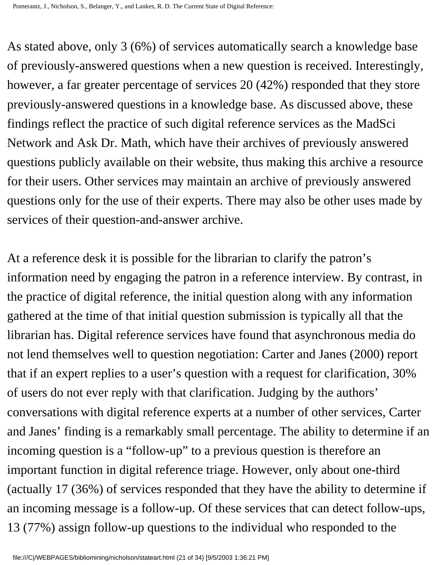As stated above, only 3 (6%) of services automatically search a knowledge base of previously-answered questions when a new question is received. Interestingly, however, a far greater percentage of services 20 (42%) responded that they store previously-answered questions in a knowledge base. As discussed above, these findings reflect the practice of such digital reference services as the MadSci Network and Ask Dr. Math, which have their archives of previously answered questions publicly available on their website, thus making this archive a resource for their users. Other services may maintain an archive of previously answered questions only for the use of their experts. There may also be other uses made by services of their question-and-answer archive.

At a reference desk it is possible for the librarian to clarify the patron's information need by engaging the patron in a reference interview. By contrast, in the practice of digital reference, the initial question along with any information gathered at the time of that initial question submission is typically all that the librarian has. Digital reference services have found that asynchronous media do not lend themselves well to question negotiation: Carter and Janes (2000) report that if an expert replies to a user's question with a request for clarification, 30% of users do not ever reply with that clarification. Judging by the authors' conversations with digital reference experts at a number of other services, Carter and Janes' finding is a remarkably small percentage. The ability to determine if an incoming question is a "follow-up" to a previous question is therefore an important function in digital reference triage. However, only about one-third (actually 17 (36%) of services responded that they have the ability to determine if an incoming message is a follow-up. Of these services that can detect follow-ups, 13 (77%) assign follow-up questions to the individual who responded to the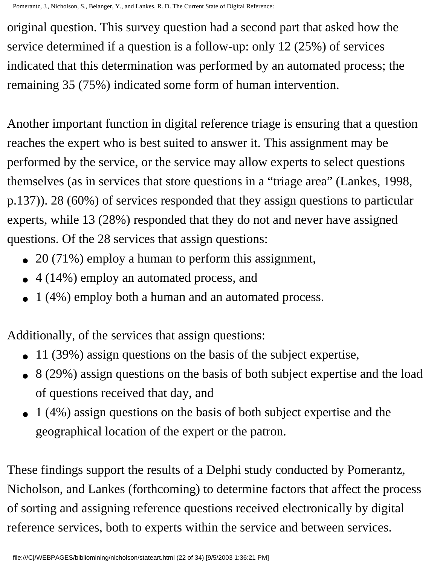original question. This survey question had a second part that asked how the service determined if a question is a follow-up: only 12 (25%) of services indicated that this determination was performed by an automated process; the remaining 35 (75%) indicated some form of human intervention.

Another important function in digital reference triage is ensuring that a question reaches the expert who is best suited to answer it. This assignment may be performed by the service, or the service may allow experts to select questions themselves (as in services that store questions in a "triage area" (Lankes, 1998, p.137)). 28 (60%) of services responded that they assign questions to particular experts, while 13 (28%) responded that they do not and never have assigned questions. Of the 28 services that assign questions:

- 20 (71%) employ a human to perform this assignment,
- 4 (14%) employ an automated process, and
- 1 (4%) employ both a human and an automated process.

Additionally, of the services that assign questions:

- 11 (39%) assign questions on the basis of the subject expertise,
- 8 (29%) assign questions on the basis of both subject expertise and the load of questions received that day, and
- 1 (4%) assign questions on the basis of both subject expertise and the geographical location of the expert or the patron.

These findings support the results of a Delphi study conducted by Pomerantz, Nicholson, and Lankes (forthcoming) to determine factors that affect the process of sorting and assigning reference questions received electronically by digital reference services, both to experts within the service and between services.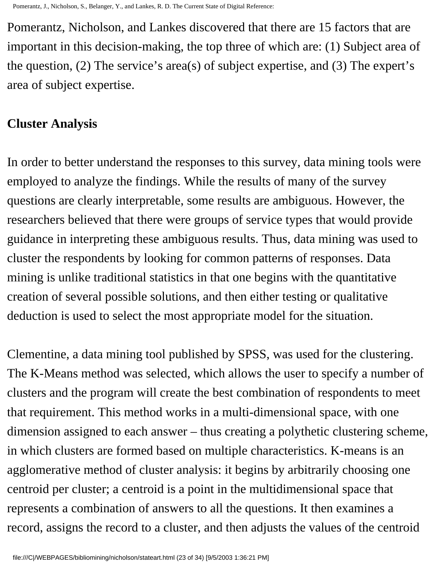Pomerantz, Nicholson, and Lankes discovered that there are 15 factors that are important in this decision-making, the top three of which are: (1) Subject area of the question, (2) The service's area(s) of subject expertise, and (3) The expert's area of subject expertise.

#### **Cluster Analysis**

In order to better understand the responses to this survey, data mining tools were employed to analyze the findings. While the results of many of the survey questions are clearly interpretable, some results are ambiguous. However, the researchers believed that there were groups of service types that would provide guidance in interpreting these ambiguous results. Thus, data mining was used to cluster the respondents by looking for common patterns of responses. Data mining is unlike traditional statistics in that one begins with the quantitative creation of several possible solutions, and then either testing or qualitative deduction is used to select the most appropriate model for the situation.

Clementine, a data mining tool published by SPSS, was used for the clustering. The K-Means method was selected, which allows the user to specify a number of clusters and the program will create the best combination of respondents to meet that requirement. This method works in a multi-dimensional space, with one dimension assigned to each answer – thus creating a polythetic clustering scheme, in which clusters are formed based on multiple characteristics. K-means is an agglomerative method of cluster analysis: it begins by arbitrarily choosing one centroid per cluster; a centroid is a point in the multidimensional space that represents a combination of answers to all the questions. It then examines a record, assigns the record to a cluster, and then adjusts the values of the centroid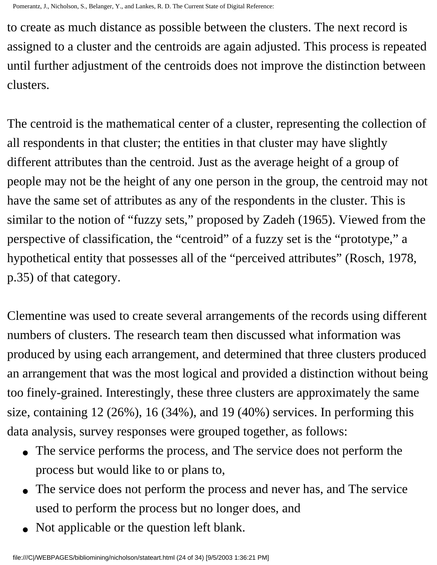to create as much distance as possible between the clusters. The next record is assigned to a cluster and the centroids are again adjusted. This process is repeated until further adjustment of the centroids does not improve the distinction between clusters.

The centroid is the mathematical center of a cluster, representing the collection of all respondents in that cluster; the entities in that cluster may have slightly different attributes than the centroid. Just as the average height of a group of people may not be the height of any one person in the group, the centroid may not have the same set of attributes as any of the respondents in the cluster. This is similar to the notion of "fuzzy sets," proposed by Zadeh (1965). Viewed from the perspective of classification, the "centroid" of a fuzzy set is the "prototype," a hypothetical entity that possesses all of the "perceived attributes" (Rosch, 1978, p.35) of that category.

Clementine was used to create several arrangements of the records using different numbers of clusters. The research team then discussed what information was produced by using each arrangement, and determined that three clusters produced an arrangement that was the most logical and provided a distinction without being too finely-grained. Interestingly, these three clusters are approximately the same size, containing 12 (26%), 16 (34%), and 19 (40%) services. In performing this data analysis, survey responses were grouped together, as follows:

- The service performs the process, and The service does not perform the process but would like to or plans to,
- The service does not perform the process and never has, and The service used to perform the process but no longer does, and
- Not applicable or the question left blank.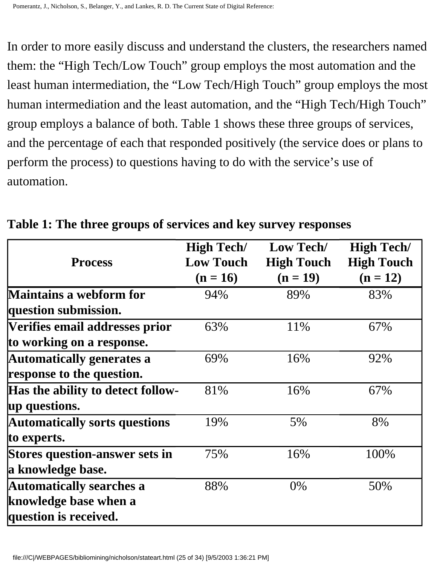In order to more easily discuss and understand the clusters, the researchers named them: the "High Tech/Low Touch" group employs the most automation and the least human intermediation, the "Low Tech/High Touch" group employs the most human intermediation and the least automation, and the "High Tech/High Touch" group employs a balance of both. Table 1 shows these three groups of services, and the percentage of each that responded positively (the service does or plans to perform the process) to questions having to do with the service's use of automation.

|                                       | <b>High Tech/</b> | Low Tech/         | <b>High Tech/</b> |
|---------------------------------------|-------------------|-------------------|-------------------|
| <b>Process</b>                        | <b>Low Touch</b>  | <b>High Touch</b> | <b>High Touch</b> |
|                                       | $(n = 16)$        | $(n = 19)$        | $(n = 12)$        |
| <b>Maintains a webform for</b>        | 94%               | 89%               | 83%               |
| question submission.                  |                   |                   |                   |
| Verifies email addresses prior        | 63%               | 11%               | 67%               |
| to working on a response.             |                   |                   |                   |
| <b>Automatically generates a</b>      | 69%               | 16%               | 92%               |
| response to the question.             |                   |                   |                   |
| Has the ability to detect follow-     | 81%               | 16%               | 67%               |
| up questions.                         |                   |                   |                   |
| <b>Automatically sorts questions</b>  | 19%               | 5%                | 8%                |
| to experts.                           |                   |                   |                   |
| <b>Stores question-answer sets in</b> | 75%               | 16%               | 100%              |
| a knowledge base.                     |                   |                   |                   |
| <b>Automatically searches a</b>       | 88%               | 0%                | 50%               |
| knowledge base when a                 |                   |                   |                   |
| question is received.                 |                   |                   |                   |

**Table 1: The three groups of services and key survey responses**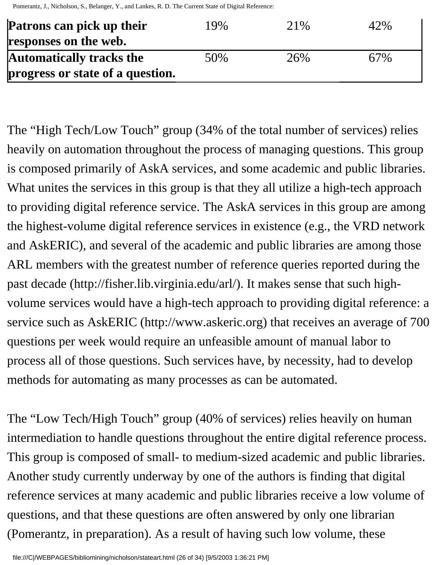| Patrons can pick up their        | 19% | 21\% | 42% |
|----------------------------------|-----|------|-----|
| responses on the web.            |     |      |     |
| <b>Automatically tracks the</b>  | 50% | 26%  | 67% |
| progress or state of a question. |     |      |     |

The "High Tech/Low Touch" group (34% of the total number of services) relies heavily on automation throughout the process of managing questions. This group is composed primarily of AskA services, and some academic and public libraries. What unites the services in this group is that they all utilize a high-tech approach to providing digital reference service. The AskA services in this group are among the highest-volume digital reference services in existence (e.g., the VRD network and AskERIC), and several of the academic and public libraries are among those ARL members with the greatest number of reference queries reported during the past decade (http://fisher.lib.virginia.edu/arl/). It makes sense that such highvolume services would have a high-tech approach to providing digital reference: a service such as AskERIC (http://www.askeric.org) that receives an average of 700 questions per week would require an unfeasible amount of manual labor to process all of those questions. Such services have, by necessity, had to develop methods for automating as many processes as can be automated.

The "Low Tech/High Touch" group (40% of services) relies heavily on human intermediation to handle questions throughout the entire digital reference process. This group is composed of small- to medium-sized academic and public libraries. Another study currently underway by one of the authors is finding that digital reference services at many academic and public libraries receive a low volume of questions, and that these questions are often answered by only one librarian (Pomerantz, in preparation). As a result of having such low volume, these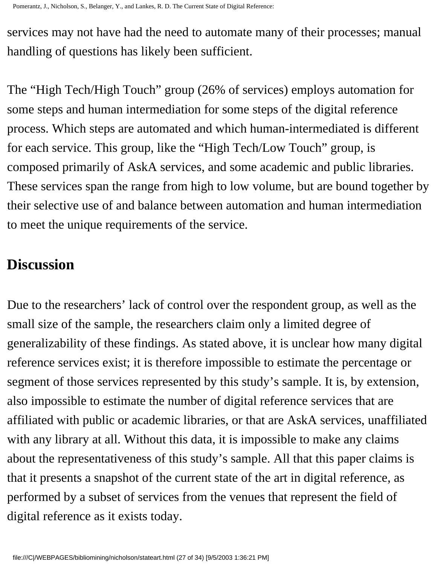services may not have had the need to automate many of their processes; manual handling of questions has likely been sufficient.

The "High Tech/High Touch" group (26% of services) employs automation for some steps and human intermediation for some steps of the digital reference process. Which steps are automated and which human-intermediated is different for each service. This group, like the "High Tech/Low Touch" group, is composed primarily of AskA services, and some academic and public libraries. These services span the range from high to low volume, but are bound together by their selective use of and balance between automation and human intermediation to meet the unique requirements of the service.

## **Discussion**

Due to the researchers' lack of control over the respondent group, as well as the small size of the sample, the researchers claim only a limited degree of generalizability of these findings. As stated above, it is unclear how many digital reference services exist; it is therefore impossible to estimate the percentage or segment of those services represented by this study's sample. It is, by extension, also impossible to estimate the number of digital reference services that are affiliated with public or academic libraries, or that are AskA services, unaffiliated with any library at all. Without this data, it is impossible to make any claims about the representativeness of this study's sample. All that this paper claims is that it presents a snapshot of the current state of the art in digital reference, as performed by a subset of services from the venues that represent the field of digital reference as it exists today.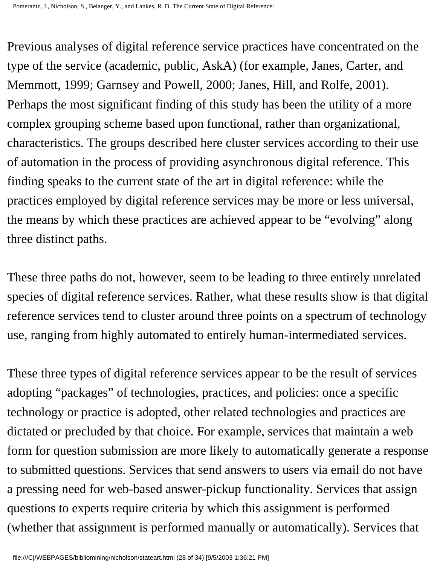Previous analyses of digital reference service practices have concentrated on the type of the service (academic, public, AskA) (for example, Janes, Carter, and Memmott, 1999; Garnsey and Powell, 2000; Janes, Hill, and Rolfe, 2001). Perhaps the most significant finding of this study has been the utility of a more complex grouping scheme based upon functional, rather than organizational, characteristics. The groups described here cluster services according to their use of automation in the process of providing asynchronous digital reference. This finding speaks to the current state of the art in digital reference: while the practices employed by digital reference services may be more or less universal, the means by which these practices are achieved appear to be "evolving" along three distinct paths.

These three paths do not, however, seem to be leading to three entirely unrelated species of digital reference services. Rather, what these results show is that digital reference services tend to cluster around three points on a spectrum of technology use, ranging from highly automated to entirely human-intermediated services.

These three types of digital reference services appear to be the result of services adopting "packages" of technologies, practices, and policies: once a specific technology or practice is adopted, other related technologies and practices are dictated or precluded by that choice. For example, services that maintain a web form for question submission are more likely to automatically generate a response to submitted questions. Services that send answers to users via email do not have a pressing need for web-based answer-pickup functionality. Services that assign questions to experts require criteria by which this assignment is performed (whether that assignment is performed manually or automatically). Services that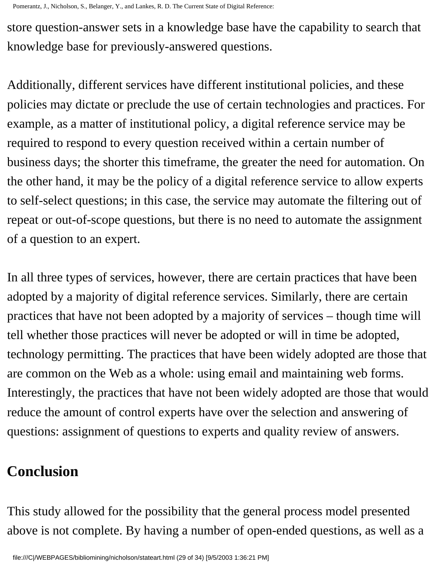store question-answer sets in a knowledge base have the capability to search that knowledge base for previously-answered questions.

Additionally, different services have different institutional policies, and these policies may dictate or preclude the use of certain technologies and practices. For example, as a matter of institutional policy, a digital reference service may be required to respond to every question received within a certain number of business days; the shorter this timeframe, the greater the need for automation. On the other hand, it may be the policy of a digital reference service to allow experts to self-select questions; in this case, the service may automate the filtering out of repeat or out-of-scope questions, but there is no need to automate the assignment of a question to an expert.

In all three types of services, however, there are certain practices that have been adopted by a majority of digital reference services. Similarly, there are certain practices that have not been adopted by a majority of services – though time will tell whether those practices will never be adopted or will in time be adopted, technology permitting. The practices that have been widely adopted are those that are common on the Web as a whole: using email and maintaining web forms. Interestingly, the practices that have not been widely adopted are those that would reduce the amount of control experts have over the selection and answering of questions: assignment of questions to experts and quality review of answers.

## **Conclusion**

This study allowed for the possibility that the general process model presented above is not complete. By having a number of open-ended questions, as well as a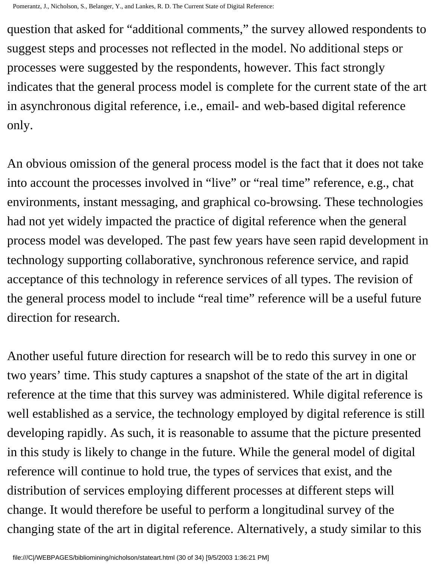question that asked for "additional comments," the survey allowed respondents to suggest steps and processes not reflected in the model. No additional steps or processes were suggested by the respondents, however. This fact strongly indicates that the general process model is complete for the current state of the art in asynchronous digital reference, i.e., email- and web-based digital reference only.

An obvious omission of the general process model is the fact that it does not take into account the processes involved in "live" or "real time" reference, e.g., chat environments, instant messaging, and graphical co-browsing. These technologies had not yet widely impacted the practice of digital reference when the general process model was developed. The past few years have seen rapid development in technology supporting collaborative, synchronous reference service, and rapid acceptance of this technology in reference services of all types. The revision of the general process model to include "real time" reference will be a useful future direction for research.

Another useful future direction for research will be to redo this survey in one or two years' time. This study captures a snapshot of the state of the art in digital reference at the time that this survey was administered. While digital reference is well established as a service, the technology employed by digital reference is still developing rapidly. As such, it is reasonable to assume that the picture presented in this study is likely to change in the future. While the general model of digital reference will continue to hold true, the types of services that exist, and the distribution of services employing different processes at different steps will change. It would therefore be useful to perform a longitudinal survey of the changing state of the art in digital reference. Alternatively, a study similar to this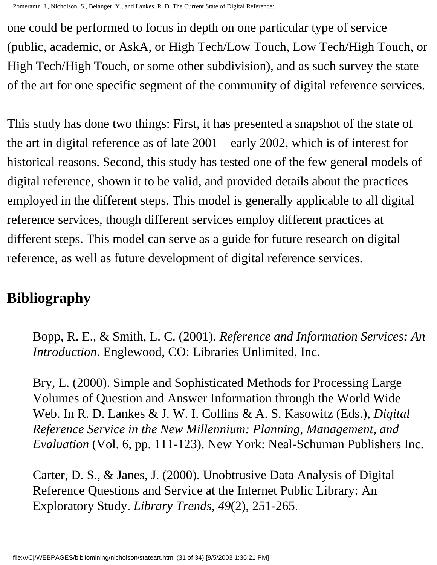one could be performed to focus in depth on one particular type of service (public, academic, or AskA, or High Tech/Low Touch, Low Tech/High Touch, or High Tech/High Touch, or some other subdivision), and as such survey the state of the art for one specific segment of the community of digital reference services.

This study has done two things: First, it has presented a snapshot of the state of the art in digital reference as of late 2001 – early 2002, which is of interest for historical reasons. Second, this study has tested one of the few general models of digital reference, shown it to be valid, and provided details about the practices employed in the different steps. This model is generally applicable to all digital reference services, though different services employ different practices at different steps. This model can serve as a guide for future research on digital reference, as well as future development of digital reference services.

## **Bibliography**

Bopp, R. E., & Smith, L. C. (2001). *Reference and Information Services: An Introduction*. Englewood, CO: Libraries Unlimited, Inc.

Bry, L. (2000). Simple and Sophisticated Methods for Processing Large Volumes of Question and Answer Information through the World Wide Web. In R. D. Lankes & J. W. I. Collins & A. S. Kasowitz (Eds.), *Digital Reference Service in the New Millennium: Planning, Management, and Evaluation* (Vol. 6, pp. 111-123). New York: Neal-Schuman Publishers Inc.

Carter, D. S., & Janes, J. (2000). Unobtrusive Data Analysis of Digital Reference Questions and Service at the Internet Public Library: An Exploratory Study. *Library Trends, 49*(2), 251-265.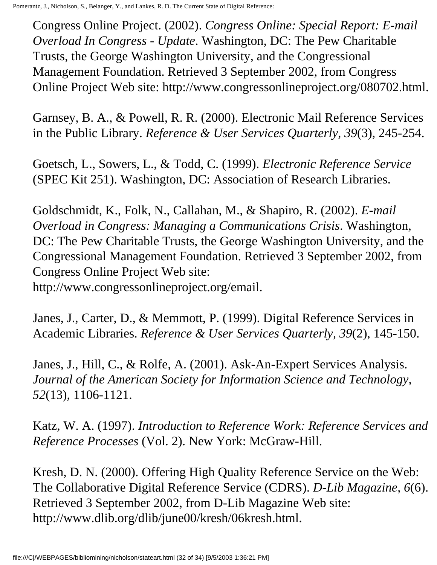Congress Online Project. (2002). *Congress Online: Special Report: E-mail Overload In Congress - Update*. Washington, DC: The Pew Charitable Trusts, the George Washington University, and the Congressional Management Foundation. Retrieved 3 September 2002, from Congress Online Project Web site: http://www.congressonlineproject.org/080702.html.

Garnsey, B. A., & Powell, R. R. (2000). Electronic Mail Reference Services in the Public Library. *Reference & User Services Quarterly, 39*(3), 245-254.

Goetsch, L., Sowers, L., & Todd, C. (1999). *Electronic Reference Service* (SPEC Kit 251). Washington, DC: Association of Research Libraries.

Goldschmidt, K., Folk, N., Callahan, M., & Shapiro, R. (2002). *E-mail Overload in Congress: Managing a Communications Crisis*. Washington, DC: The Pew Charitable Trusts, the George Washington University, and the Congressional Management Foundation. Retrieved 3 September 2002, from Congress Online Project Web site:

http://www.congressonlineproject.org/email.

Janes, J., Carter, D., & Memmott, P. (1999). Digital Reference Services in Academic Libraries. *Reference & User Services Quarterly, 39*(2), 145-150.

Janes, J., Hill, C., & Rolfe, A. (2001). Ask-An-Expert Services Analysis. *Journal of the American Society for Information Science and Technology, 52*(13), 1106-1121.

Katz, W. A. (1997). *Introduction to Reference Work: Reference Services and Reference Processes* (Vol. 2). New York: McGraw-Hill.

Kresh, D. N. (2000). Offering High Quality Reference Service on the Web: The Collaborative Digital Reference Service (CDRS). *D-Lib Magazine, 6*(6). Retrieved 3 September 2002, from D-Lib Magazine Web site: http://www.dlib.org/dlib/june00/kresh/06kresh.html.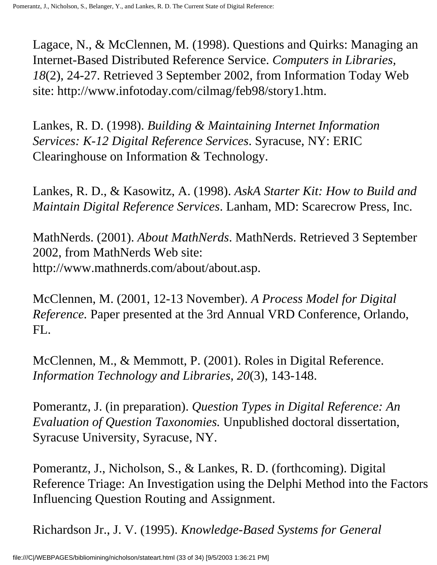Lagace, N., & McClennen, M. (1998). Questions and Quirks: Managing an Internet-Based Distributed Reference Service. *Computers in Libraries, 18*(2), 24-27. Retrieved 3 September 2002, from Information Today Web site: http://www.infotoday.com/cilmag/feb98/story1.htm.

Lankes, R. D. (1998). *Building & Maintaining Internet Information Services: K-12 Digital Reference Services*. Syracuse, NY: ERIC Clearinghouse on Information & Technology.

Lankes, R. D., & Kasowitz, A. (1998). *AskA Starter Kit: How to Build and Maintain Digital Reference Services*. Lanham, MD: Scarecrow Press, Inc.

MathNerds. (2001). *About MathNerds*. MathNerds. Retrieved 3 September 2002, from MathNerds Web site: http://www.mathnerds.com/about/about.asp.

McClennen, M. (2001, 12-13 November). *A Process Model for Digital Reference.* Paper presented at the 3rd Annual VRD Conference, Orlando, FL.

McClennen, M., & Memmott, P. (2001). Roles in Digital Reference. *Information Technology and Libraries, 20*(3), 143-148.

Pomerantz, J. (in preparation). *Question Types in Digital Reference: An Evaluation of Question Taxonomies.* Unpublished doctoral dissertation, Syracuse University, Syracuse, NY.

Pomerantz, J., Nicholson, S., & Lankes, R. D. (forthcoming). Digital Reference Triage: An Investigation using the Delphi Method into the Factors Influencing Question Routing and Assignment.

Richardson Jr., J. V. (1995). *Knowledge-Based Systems for General*